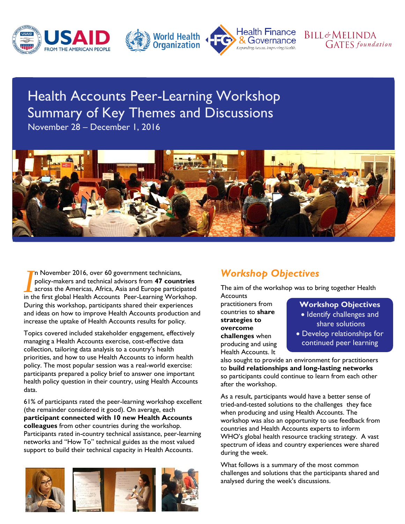





# Health Accounts Peer-Learning Workshop Summary of Key Themes and Discussions

November 28 – December 1, 2016



n November 2016, over 60 government technicians, policy-makers and technical advisors from **47 countries** across the Americas, Africa, Asia and Europe participated In November 2016, over 60 government technicians,<br>
policy-makers and technical advisors from **47 countries**<br>
across the Americas, Africa, Asia and Europe participated<br>
in the first global Health Accounts Peer-Learning Work During this workshop, participants shared their experiences and ideas on how to improve Health Accounts production and increase the uptake of Health Accounts results for policy.

Topics covered included stakeholder engagement, effectively managing a Health Accounts exercise, cost-effective data collection, tailoring data analysis to a country's health priorities, and how to use Health Accounts to inform health policy. The most popular session was a real-world exercise: participants prepared a policy brief to answer one important health policy question in their country, using Health Accounts data.

61% of participants rated the peer-learning workshop excellent (the remainder considered it good). On average, each **participant connected with 10 new Health Accounts colleagues** from other countries during the workshop. Participants rated in-country technical assistance, peer-learning networks and "How To" technical guides as the most valued support to build their technical capacity in Health Accounts.







# *Workshop Objectives*

The aim of the workshop was to bring together Health

**Accounts** practitioners from countries to **share strategies to overcome challenges** when producing and using Health Accounts. It

#### **Workshop Objectives**

**BILL&MELINDA** 

**GATES** foundation

- Identify challenges and share solutions
- Develop relationships for continued peer learning

also sought to provide an environment for practitioners to **build relationships and long-lasting networks** so participants could continue to learn from each other after the workshop.

As a result, participants would have a better sense of tried-and-tested solutions to the challenges they face when producing and using Health Accounts. The workshop was also an opportunity to use feedback from countries and Health Accounts experts to inform WHO's global health resource tracking strategy. A vast spectrum of ideas and country experiences were shared during the week.

What follows is a summary of the most common challenges and solutions that the participants shared and analysed during the week's discussions.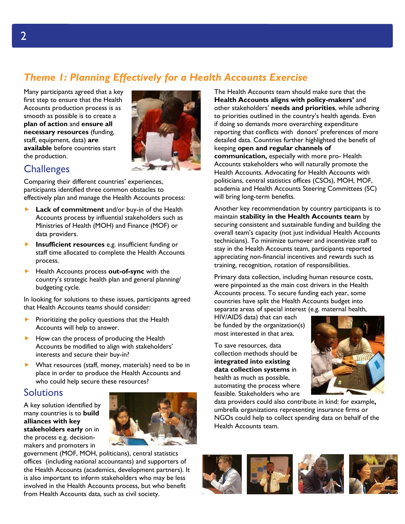# *Theme 1: Planning Effectively for a Health Accounts Exercise*

Many participants agreed that a key first step to ensure that the Health Accounts production process is as smooth as possible is to create a **plan of action** and **ensure all necessary resources** (funding, staff, equipment, data) **are available** before countries start the production.



## **Challenges**

Comparing their different countries' experiences, participants identified three common obstacles to effectively plan and manage the Health Accounts process:

- **Lack of commitment** and/or buy-in of the Health Accounts process by influential stakeholders such as Ministries of Health (MOH) and Finance (MOF) or data providers.
- **Insufficient resources** e.g. insufficient funding or staff time allocated to complete the Health Accounts process.
- Health Accounts process **out-of-sync** with the country's strategic health plan and general planning/ budgeting cycle.

In looking for solutions to these issues, participants agreed that Health Accounts teams should consider:

- Prioritizing the policy questions that the Health Accounts will help to answer.
- How can the process of producing the Health Accounts be modified to align with stakeholders' interests and secure their buy-in?
- What resources (staff, money, materials) need to be in place in order to produce the Health Accounts and who could help secure these resources?

## Solutions

A key solution identified by many countries is to **build alliances with key stakeholders early** on in the process e.g. decisionmakers and promoters in



government (MOF, MOH, politicians), central statistics offices (including national accountants) and supporters of the Health Accounts (academics, development partners). It is also important to inform stakeholders who may be less involved in the Health Accounts process, but who benefit from Health Accounts data, such as civil society.

The Health Accounts team should make sure that the **Health Accounts aligns with policy-makers'** and other stakeholders' **needs and priorities**, while adhering to priorities outlined in the country's health agenda. Even if doing so demands more overarching expenditure reporting that conflicts with donors' preferences of more detailed data. Countries further highlighted the benefit of keeping **open and regular channels of communication,** especially with more pro- Health Accounts stakeholders who will naturally promote the Health Accounts. Advocating for Health Accounts with politicians, central statistics offices (CSOs), MOH, MOF, academia and Health Accounts Steering Committees (SC) will bring long-term benefits.

Another key recommendation by country participants is to maintain **stability in the Health Accounts team** by securing consistent and sustainable funding and building the overall team's capacity (not just individual Health Accounts technicians). To minimize turnover and incentivize staff to stay in the Health Accounts team, participants reported appreciating non-financial incentives and rewards such as training, recognition, rotation of responsibilities.

Primary data collection, including human resource costs, were pinpointed as the main cost drivers in the Health Accounts process. To secure funding each year, some countries have split the Health Accounts budget into separate areas of special interest (e.g. maternal health,

HIV/AIDS data) that can each be funded by the organization(s) most interested in that area.

To save resources, data collection methods should be **integrated into existing data collection systems** in health as much as possible, automating the process where feasible. Stakeholders who are



data providers could also contribute in kind: for example**,**  umbrella organizations representing insurance firms or NGOs could help to collect spending data on behalf of the Health Accounts team.





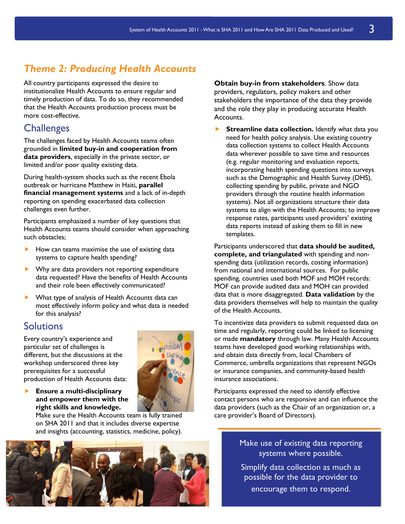## *Theme 2: Producing Health Accounts*

All country participants expressed the desire to institutionalize Health Accounts to ensure regular and timely production of data. To do so, they recommended that the Health Accounts production process must be more cost-effective.

## **Challenges**

The challenges faced by Health Accounts teams often grounded in **limited buy-in and cooperation from data providers**, especially in the private sector, or limited and/or poor quality existing data.

During health-system shocks such as the recent Ebola outbreak or hurricane Matthew in Haiti, **parallel financial management systems** and a lack of in-depth reporting on spending exacerbated data collection challenges even further.

Participants emphasized a number of key questions that Health Accounts teams should consider when approaching such obstacles;

- How can teams maximise the use of existing data systems to capture health spending?
- Why are data providers not reporting expenditure data requested? Have the benefits of Health Accounts and their role been effectively communicated?
- ▶ What type of analysis of Health Accounts data can most effectively inform policy and what data is needed for this analysis?

## Solutions

Every country's experience and particular set of challenges is different, but the discussions at the workshop underscored three key prerequisites for a successful production of Health Accounts data:

**Ensure a multi-disciplinary** 

**right skills and knowledge.** 



Make sure the Health Accounts team is fully trained on SHA 2011 and that it includes diverse expertise and insights (accounting, statistics, medicine, policy).



**Obtain buy-in from stakeholders**. Show data providers, regulators, policy makers and other stakeholders the importance of the data they provide and the role they play in producing accurate Health Accounts.

**Streamline data collection.** Identify what data you need for health policy analysis. Use existing country data collection systems to collect Health Accounts data wherever possible to save time and resources (e.g. regular monitoring and evaluation reports, incorporating health spending questions into surveys such as the Demographic and Health Survey (DHS), collecting spending by public, private and NGO providers through the routine health information systems). Not all organizations structure their data systems to align with the Health Accounts; to improve response rates, participants used providers' existing data reports instead of asking them to fill in new templates.

Participants underscored that **data should be audited, complete, and triangulated** with spending and nonspending data (utilization records, costing information) from national and international sources. For public spending, countries used both MOF and MOH records: MOF can provide audited data and MOH can provided data that is more disaggregated. **Data validation** by the data providers themselves will help to maintain the quality of the Health Accounts.

To incentivize data providers to submit requested data on time and regularly, reporting could be linked to licensing or made **mandatory** through law. Many Health Accounts teams have developed good working relationships with, and obtain data directly from, local Chambers of Commerce, umbrella organizations that represent NGOs or insurance companies, and community-based health insurance associations.

Participants expressed the need to identify effective contact persons who are responsive and can influence the data providers (such as the Chair of an organization or, a care provider's Board of Directors).

> Make use of existing data reporting systems where possible.

> Simplify data collection as much as possible for the data provider to encourage them to respond.